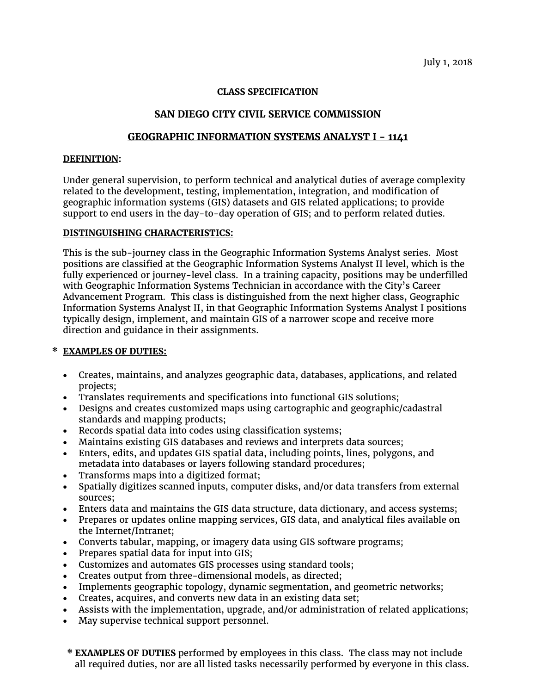## **CLASS SPECIFICATION**

# **SAN DIEGO CITY CIVIL SERVICE COMMISSION**

## **GEOGRAPHIC INFORMATION SYSTEMS ANALYST I - 1141**

#### **DEFINITION:**

Under general supervision, to perform technical and analytical duties of average complexity related to the development, testing, implementation, integration, and modification of geographic information systems (GIS) datasets and GIS related applications; to provide support to end users in the day-to-day operation of GIS; and to perform related duties.

### **DISTINGUISHING CHARACTERISTICS:**

This is the sub-journey class in the Geographic Information Systems Analyst series. Most positions are classified at the Geographic Information Systems Analyst II level, which is the fully experienced or journey-level class. In a training capacity, positions may be underfilled with Geographic Information Systems Technician in accordance with the City's Career Advancement Program. This class is distinguished from the next higher class, Geographic Information Systems Analyst II, in that Geographic Information Systems Analyst I positions typically design, implement, and maintain GIS of a narrower scope and receive more direction and guidance in their assignments.

## **\* EXAMPLES OF DUTIES:**

- Creates, maintains, and analyzes geographic data, databases, applications, and related projects;
- Translates requirements and specifications into functional GIS solutions;
- Designs and creates customized maps using cartographic and geographic/cadastral standards and mapping products;
- Records spatial data into codes using classification systems;
- Maintains existing GIS databases and reviews and interprets data sources;
- Enters, edits, and updates GIS spatial data, including points, lines, polygons, and metadata into databases or layers following standard procedures;
- Transforms maps into a digitized format;
- Spatially digitizes scanned inputs, computer disks, and/or data transfers from external sources;
- Enters data and maintains the GIS data structure, data dictionary, and access systems;
- Prepares or updates online mapping services, GIS data, and analytical files available on the Internet/Intranet;
- Converts tabular, mapping, or imagery data using GIS software programs;
- Prepares spatial data for input into GIS;
- Customizes and automates GIS processes using standard tools;
- Creates output from three-dimensional models, as directed;
- Implements geographic topology, dynamic segmentation, and geometric networks;
- Creates, acquires, and converts new data in an existing data set;
- Assists with the implementation, upgrade, and/or administration of related applications;
- May supervise technical support personnel.
- **\* EXAMPLES OF DUTIES** performed by employees in this class. The class may not include all required duties, nor are all listed tasks necessarily performed by everyone in this class.